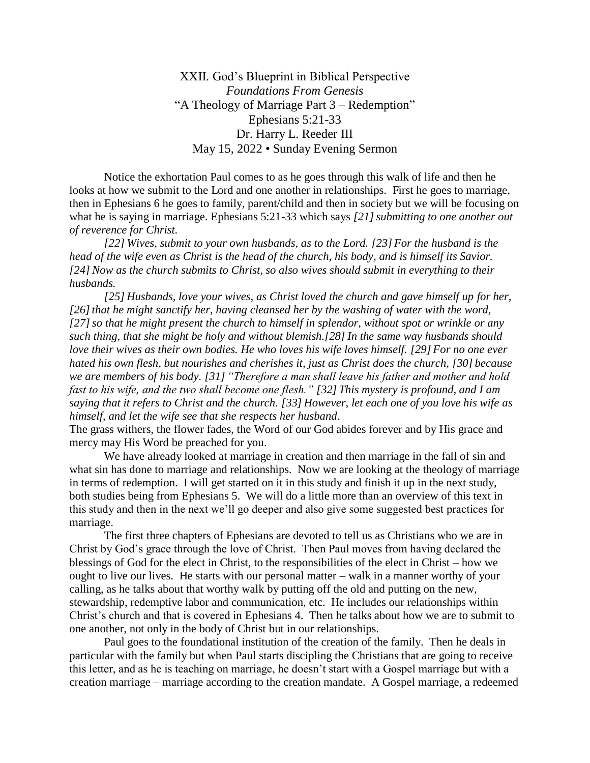XXII. God's Blueprint in Biblical Perspective *Foundations From Genesis*  "A Theology of Marriage Part 3 – Redemption" Ephesians 5:21-33 Dr. Harry L. Reeder III May 15, 2022 • Sunday Evening Sermon

Notice the exhortation Paul comes to as he goes through this walk of life and then he looks at how we submit to the Lord and one another in relationships. First he goes to marriage, then in Ephesians 6 he goes to family, parent/child and then in society but we will be focusing on what he is saying in marriage. Ephesians 5:21-33 which says [21] submitting to one another out *of reverence for Christ.* 

*[22] Wives, submit to your own husbands, as to the Lord. [23] For the husband is the head of the wife even as Christ is the head of the church, his body, and is himself its Savior. [24] Now as the church submits to Christ, so also wives should submit in everything to their husbands.*

*[25] Husbands, love your wives, as Christ loved the church and gave himself up for her, [26]that he might sanctify her, having cleansed her by the washing of water with the word, [27]so that he might present the church to himself in splendor, without spot or wrinkle or any such thing, that she might be holy and without blemish.[28] In the same way husbands should love their wives as their own bodies. He who loves his wife loves himself. [29] For no one ever hated his own flesh, but nourishes and cherishes it, just as Christ does the church, [30] because we are members of his body. [31] "Therefore a man shall leave his father and mother and hold fast to his wife, and the two shall become one flesh." [32] This mystery is profound, and I am saying that it refers to Christ and the church. [33] However, let each one of you love his wife as himself, and let the wife see that she respects her husband*.

The grass withers, the flower fades, the Word of our God abides forever and by His grace and mercy may His Word be preached for you.

We have already looked at marriage in creation and then marriage in the fall of sin and what sin has done to marriage and relationships. Now we are looking at the theology of marriage in terms of redemption. I will get started on it in this study and finish it up in the next study, both studies being from Ephesians 5. We will do a little more than an overview of this text in this study and then in the next we'll go deeper and also give some suggested best practices for marriage.

The first three chapters of Ephesians are devoted to tell us as Christians who we are in Christ by God's grace through the love of Christ. Then Paul moves from having declared the blessings of God for the elect in Christ, to the responsibilities of the elect in Christ – how we ought to live our lives. He starts with our personal matter – walk in a manner worthy of your calling, as he talks about that worthy walk by putting off the old and putting on the new, stewardship, redemptive labor and communication, etc. He includes our relationships within Christ's church and that is covered in Ephesians 4. Then he talks about how we are to submit to one another, not only in the body of Christ but in our relationships.

Paul goes to the foundational institution of the creation of the family. Then he deals in particular with the family but when Paul starts discipling the Christians that are going to receive this letter, and as he is teaching on marriage, he doesn't start with a Gospel marriage but with a creation marriage – marriage according to the creation mandate. A Gospel marriage, a redeemed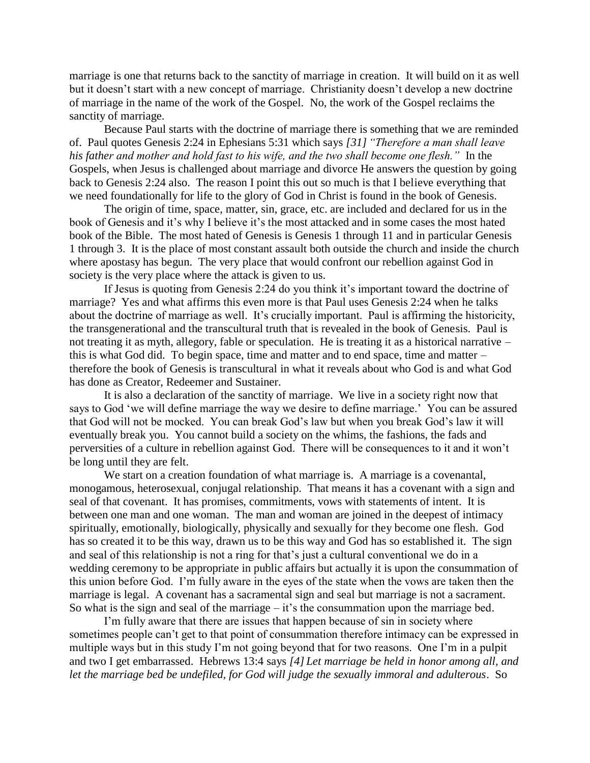marriage is one that returns back to the sanctity of marriage in creation. It will build on it as well but it doesn't start with a new concept of marriage. Christianity doesn't develop a new doctrine of marriage in the name of the work of the Gospel. No, the work of the Gospel reclaims the sanctity of marriage.

Because Paul starts with the doctrine of marriage there is something that we are reminded of. Paul quotes Genesis 2:24 in Ephesians 5:31 which says *[31] "Therefore a man shall leave his father and mother and hold fast to his wife, and the two shall become one flesh."* In the Gospels, when Jesus is challenged about marriage and divorce He answers the question by going back to Genesis 2:24 also. The reason I point this out so much is that I believe everything that we need foundationally for life to the glory of God in Christ is found in the book of Genesis.

The origin of time, space, matter, sin, grace, etc. are included and declared for us in the book of Genesis and it's why I believe it's the most attacked and in some cases the most hated book of the Bible. The most hated of Genesis is Genesis 1 through 11 and in particular Genesis 1 through 3. It is the place of most constant assault both outside the church and inside the church where apostasy has begun. The very place that would confront our rebellion against God in society is the very place where the attack is given to us.

If Jesus is quoting from Genesis 2:24 do you think it's important toward the doctrine of marriage? Yes and what affirms this even more is that Paul uses Genesis 2:24 when he talks about the doctrine of marriage as well. It's crucially important. Paul is affirming the historicity, the transgenerational and the transcultural truth that is revealed in the book of Genesis. Paul is not treating it as myth, allegory, fable or speculation. He is treating it as a historical narrative – this is what God did. To begin space, time and matter and to end space, time and matter – therefore the book of Genesis is transcultural in what it reveals about who God is and what God has done as Creator, Redeemer and Sustainer.

It is also a declaration of the sanctity of marriage. We live in a society right now that says to God 'we will define marriage the way we desire to define marriage.' You can be assured that God will not be mocked. You can break God's law but when you break God's law it will eventually break you. You cannot build a society on the whims, the fashions, the fads and perversities of a culture in rebellion against God. There will be consequences to it and it won't be long until they are felt.

We start on a creation foundation of what marriage is. A marriage is a covenantal, monogamous, heterosexual, conjugal relationship. That means it has a covenant with a sign and seal of that covenant. It has promises, commitments, vows with statements of intent. It is between one man and one woman. The man and woman are joined in the deepest of intimacy spiritually, emotionally, biologically, physically and sexually for they become one flesh. God has so created it to be this way, drawn us to be this way and God has so established it. The sign and seal of this relationship is not a ring for that's just a cultural conventional we do in a wedding ceremony to be appropriate in public affairs but actually it is upon the consummation of this union before God. I'm fully aware in the eyes of the state when the vows are taken then the marriage is legal. A covenant has a sacramental sign and seal but marriage is not a sacrament. So what is the sign and seal of the marriage – it's the consummation upon the marriage bed.

I'm fully aware that there are issues that happen because of sin in society where sometimes people can't get to that point of consummation therefore intimacy can be expressed in multiple ways but in this study I'm not going beyond that for two reasons. One I'm in a pulpit and two I get embarrassed. Hebrews 13:4 says *[4] Let marriage be held in honor among all, and let the marriage bed be undefiled, for God will judge the sexually immoral and adulterous*. So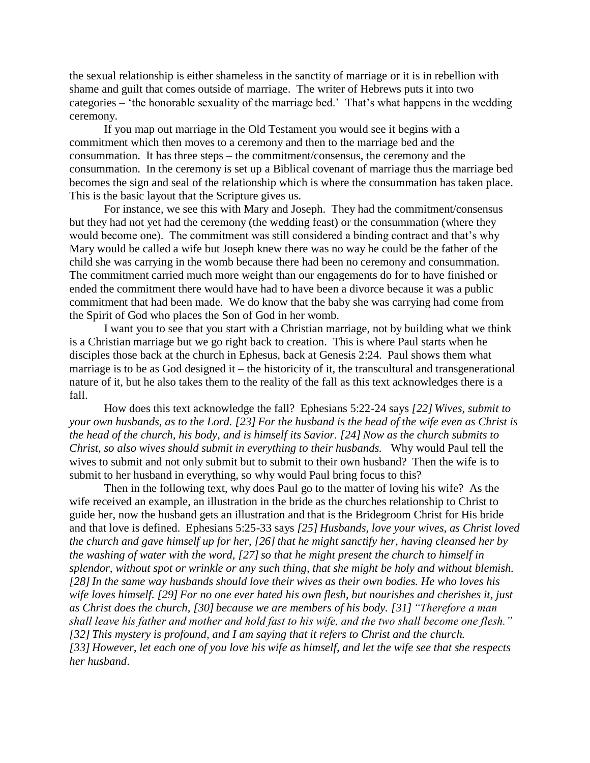the sexual relationship is either shameless in the sanctity of marriage or it is in rebellion with shame and guilt that comes outside of marriage. The writer of Hebrews puts it into two categories – 'the honorable sexuality of the marriage bed.' That's what happens in the wedding ceremony.

If you map out marriage in the Old Testament you would see it begins with a commitment which then moves to a ceremony and then to the marriage bed and the consummation. It has three steps – the commitment/consensus, the ceremony and the consummation. In the ceremony is set up a Biblical covenant of marriage thus the marriage bed becomes the sign and seal of the relationship which is where the consummation has taken place. This is the basic layout that the Scripture gives us.

For instance, we see this with Mary and Joseph. They had the commitment/consensus but they had not yet had the ceremony (the wedding feast) or the consummation (where they would become one). The commitment was still considered a binding contract and that's why Mary would be called a wife but Joseph knew there was no way he could be the father of the child she was carrying in the womb because there had been no ceremony and consummation. The commitment carried much more weight than our engagements do for to have finished or ended the commitment there would have had to have been a divorce because it was a public commitment that had been made. We do know that the baby she was carrying had come from the Spirit of God who places the Son of God in her womb.

I want you to see that you start with a Christian marriage, not by building what we think is a Christian marriage but we go right back to creation. This is where Paul starts when he disciples those back at the church in Ephesus, back at Genesis 2:24. Paul shows them what marriage is to be as God designed it – the historicity of it, the transcultural and transgenerational nature of it, but he also takes them to the reality of the fall as this text acknowledges there is a fall.

How does this text acknowledge the fall? Ephesians 5:22-24 says *[22] Wives, submit to your own husbands, as to the Lord. [23] For the husband is the head of the wife even as Christ is the head of the church, his body, and is himself its Savior. [24] Now as the church submits to Christ, so also wives should submit in everything to their husbands.* Why would Paul tell the wives to submit and not only submit but to submit to their own husband? Then the wife is to submit to her husband in everything, so why would Paul bring focus to this?

Then in the following text, why does Paul go to the matter of loving his wife? As the wife received an example, an illustration in the bride as the churches relationship to Christ to guide her, now the husband gets an illustration and that is the Bridegroom Christ for His bride and that love is defined. Ephesians 5:25-33 says *[25] Husbands, love your wives, as Christ loved the church and gave himself up for her,* [26] that he might sanctify her, having cleansed her by *the washing of water with the word, [27]so that he might present the church to himself in splendor, without spot or wrinkle or any such thing, that she might be holy and without blemish. [28]In the same way husbands should love their wives as their own bodies. He who loves his wife loves himself. [29] For no one ever hated his own flesh, but nourishes and cherishes it, just as Christ does the church, [30] because we are members of his body. [31] "Therefore a man shall leave his father and mother and hold fast to his wife, and the two shall become one flesh." [32] This mystery is profound, and I am saying that it refers to Christ and the church. [33] However, let each one of you love his wife as himself, and let the wife see that she respects her husband*.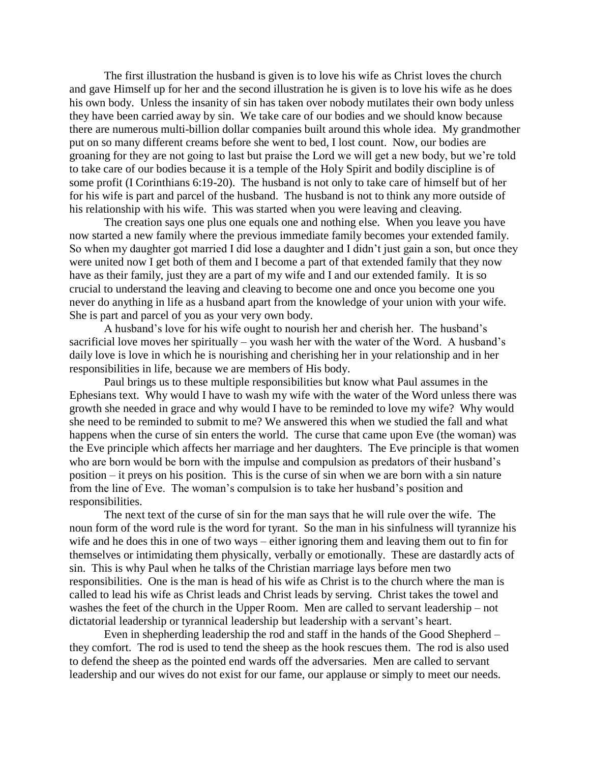The first illustration the husband is given is to love his wife as Christ loves the church and gave Himself up for her and the second illustration he is given is to love his wife as he does his own body. Unless the insanity of sin has taken over nobody mutilates their own body unless they have been carried away by sin. We take care of our bodies and we should know because there are numerous multi-billion dollar companies built around this whole idea. My grandmother put on so many different creams before she went to bed, I lost count. Now, our bodies are groaning for they are not going to last but praise the Lord we will get a new body, but we're told to take care of our bodies because it is a temple of the Holy Spirit and bodily discipline is of some profit (I Corinthians 6:19-20). The husband is not only to take care of himself but of her for his wife is part and parcel of the husband. The husband is not to think any more outside of his relationship with his wife. This was started when you were leaving and cleaving.

The creation says one plus one equals one and nothing else. When you leave you have now started a new family where the previous immediate family becomes your extended family. So when my daughter got married I did lose a daughter and I didn't just gain a son, but once they were united now I get both of them and I become a part of that extended family that they now have as their family, just they are a part of my wife and I and our extended family. It is so crucial to understand the leaving and cleaving to become one and once you become one you never do anything in life as a husband apart from the knowledge of your union with your wife. She is part and parcel of you as your very own body.

A husband's love for his wife ought to nourish her and cherish her. The husband's sacrificial love moves her spiritually – you wash her with the water of the Word. A husband's daily love is love in which he is nourishing and cherishing her in your relationship and in her responsibilities in life, because we are members of His body.

Paul brings us to these multiple responsibilities but know what Paul assumes in the Ephesians text. Why would I have to wash my wife with the water of the Word unless there was growth she needed in grace and why would I have to be reminded to love my wife? Why would she need to be reminded to submit to me? We answered this when we studied the fall and what happens when the curse of sin enters the world. The curse that came upon Eve (the woman) was the Eve principle which affects her marriage and her daughters. The Eve principle is that women who are born would be born with the impulse and compulsion as predators of their husband's position – it preys on his position. This is the curse of sin when we are born with a sin nature from the line of Eve. The woman's compulsion is to take her husband's position and responsibilities.

The next text of the curse of sin for the man says that he will rule over the wife. The noun form of the word rule is the word for tyrant. So the man in his sinfulness will tyrannize his wife and he does this in one of two ways – either ignoring them and leaving them out to fin for themselves or intimidating them physically, verbally or emotionally. These are dastardly acts of sin. This is why Paul when he talks of the Christian marriage lays before men two responsibilities. One is the man is head of his wife as Christ is to the church where the man is called to lead his wife as Christ leads and Christ leads by serving. Christ takes the towel and washes the feet of the church in the Upper Room. Men are called to servant leadership – not dictatorial leadership or tyrannical leadership but leadership with a servant's heart.

Even in shepherding leadership the rod and staff in the hands of the Good Shepherd – they comfort. The rod is used to tend the sheep as the hook rescues them. The rod is also used to defend the sheep as the pointed end wards off the adversaries. Men are called to servant leadership and our wives do not exist for our fame, our applause or simply to meet our needs.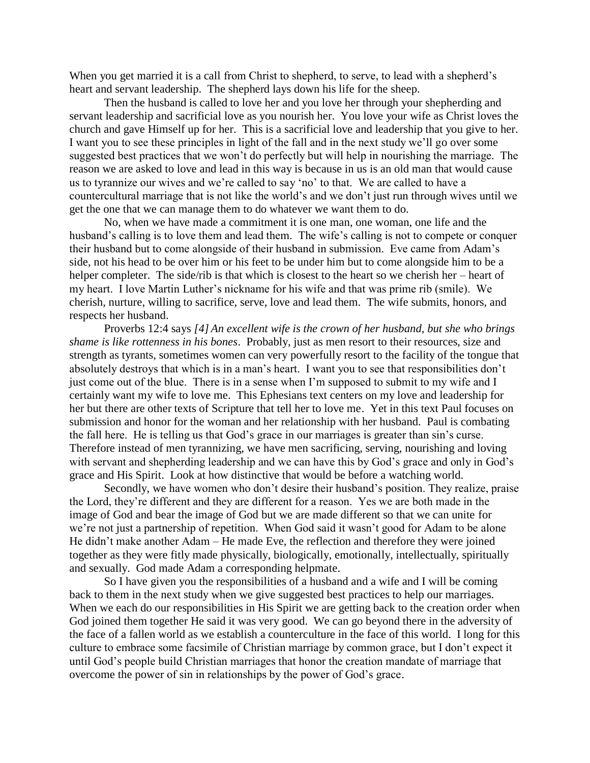When you get married it is a call from Christ to shepherd, to serve, to lead with a shepherd's heart and servant leadership. The shepherd lays down his life for the sheep.

Then the husband is called to love her and you love her through your shepherding and servant leadership and sacrificial love as you nourish her. You love your wife as Christ loves the church and gave Himself up for her. This is a sacrificial love and leadership that you give to her. I want you to see these principles in light of the fall and in the next study we'll go over some suggested best practices that we won't do perfectly but will help in nourishing the marriage. The reason we are asked to love and lead in this way is because in us is an old man that would cause us to tyrannize our wives and we're called to say 'no' to that. We are called to have a countercultural marriage that is not like the world's and we don't just run through wives until we get the one that we can manage them to do whatever we want them to do.

No, when we have made a commitment it is one man, one woman, one life and the husband's calling is to love them and lead them. The wife's calling is not to compete or conquer their husband but to come alongside of their husband in submission. Eve came from Adam's side, not his head to be over him or his feet to be under him but to come alongside him to be a helper completer. The side/rib is that which is closest to the heart so we cherish her – heart of my heart. I love Martin Luther's nickname for his wife and that was prime rib (smile). We cherish, nurture, willing to sacrifice, serve, love and lead them. The wife submits, honors, and respects her husband.

Proverbs 12:4 says *[4] An excellent wife is the crown of her husband, but she who brings shame is like rottenness in his bones*. Probably, just as men resort to their resources, size and strength as tyrants, sometimes women can very powerfully resort to the facility of the tongue that absolutely destroys that which is in a man's heart. I want you to see that responsibilities don't just come out of the blue. There is in a sense when I'm supposed to submit to my wife and I certainly want my wife to love me. This Ephesians text centers on my love and leadership for her but there are other texts of Scripture that tell her to love me. Yet in this text Paul focuses on submission and honor for the woman and her relationship with her husband. Paul is combating the fall here. He is telling us that God's grace in our marriages is greater than sin's curse. Therefore instead of men tyrannizing, we have men sacrificing, serving, nourishing and loving with servant and shepherding leadership and we can have this by God's grace and only in God's grace and His Spirit. Look at how distinctive that would be before a watching world.

Secondly, we have women who don't desire their husband's position. They realize, praise the Lord, they're different and they are different for a reason. Yes we are both made in the image of God and bear the image of God but we are made different so that we can unite for we're not just a partnership of repetition. When God said it wasn't good for Adam to be alone He didn't make another Adam – He made Eve, the reflection and therefore they were joined together as they were fitly made physically, biologically, emotionally, intellectually, spiritually and sexually. God made Adam a corresponding helpmate.

So I have given you the responsibilities of a husband and a wife and I will be coming back to them in the next study when we give suggested best practices to help our marriages. When we each do our responsibilities in His Spirit we are getting back to the creation order when God joined them together He said it was very good. We can go beyond there in the adversity of the face of a fallen world as we establish a counterculture in the face of this world. I long for this culture to embrace some facsimile of Christian marriage by common grace, but I don't expect it until God's people build Christian marriages that honor the creation mandate of marriage that overcome the power of sin in relationships by the power of God's grace.